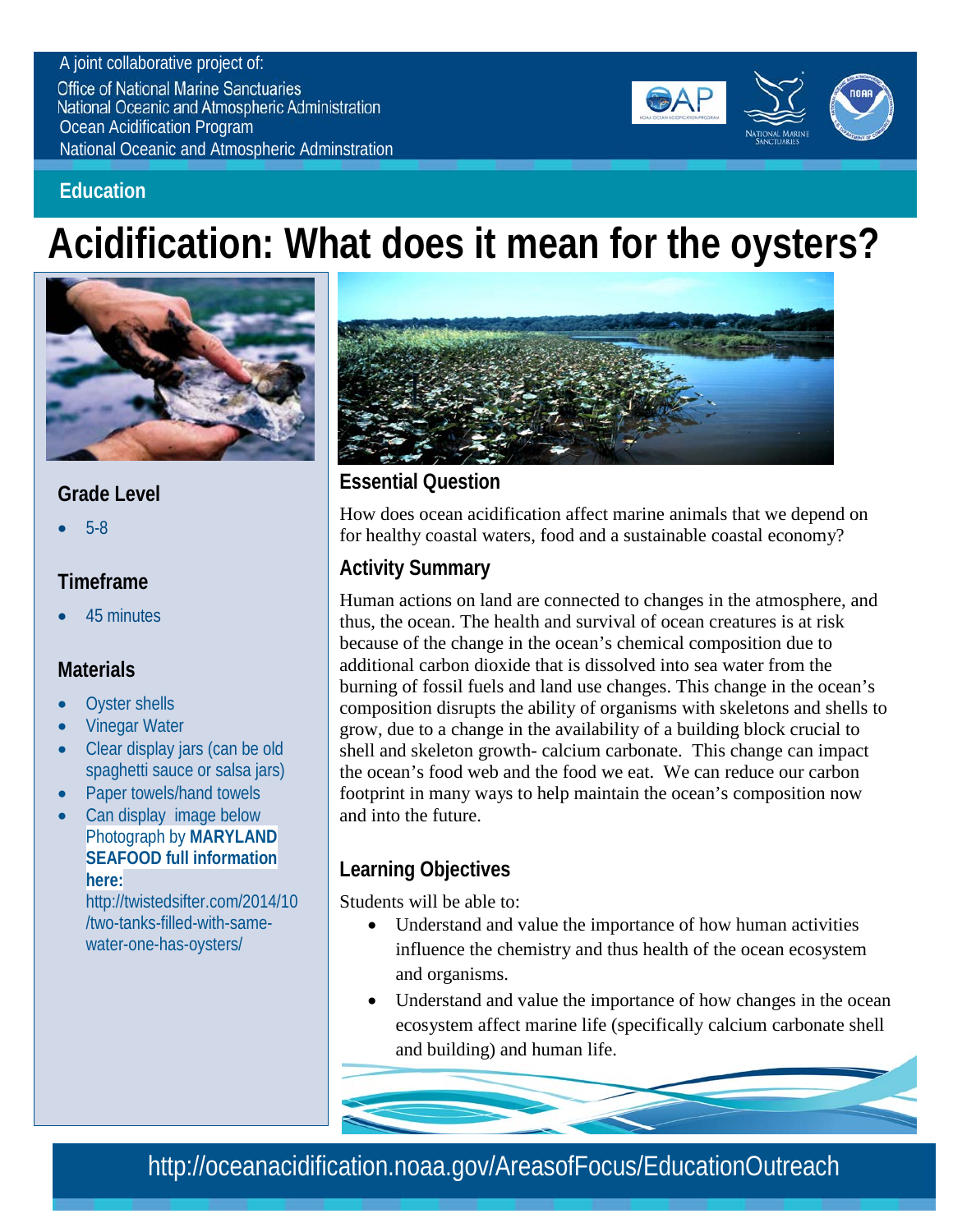#### A joint collaborative project of:

**Office of National Marine Sanctuaries National Oceanic and Atmospheric Administration** Ocean Acidification Program National Oceanic and Atmospheric Adminstration



## **Education**

# **Acidification: What does it mean for the oysters?**



# **Grade Level**

• 5-8

# **Timeframe**

• 45 minutes

# **Materials**

- Oyster shells
- Vinegar Water
- Clear display jars (can be old spaghetti sauce or salsa jars)
- Paper towels/hand towels
- Can display image below Photograph by **MARYLAND SEAFOOD full information here:**

http://twistedsifter.com/2014/10 /two-tanks-filled-with-samewater-one-has-oysters/



# **Essential Question**

How does ocean acidification affect marine animals that we depend on for healthy coastal waters, food and a sustainable coastal economy?

# **Activity Summary**

Human actions on land are connected to changes in the atmosphere, and thus, the ocean. The health and survival of ocean creatures is at risk because of the change in the ocean's chemical composition due to additional carbon dioxide that is dissolved into sea water from the burning of fossil fuels and land use changes. This change in the ocean's composition disrupts the ability of organisms with skeletons and shells to grow, due to a change in the availability of a building block crucial to shell and skeleton growth- calcium carbonate. This change can impact the ocean's food web and the food we eat. We can reduce our carbon footprint in many ways to help maintain the ocean's composition now and into the future.

# **Learning Objectives**

Students will be able to:

- Understand and value the importance of how human activities influence the chemistry and thus health of the ocean ecosystem and organisms.
- Understand and value the importance of how changes in the ocean ecosystem affect marine life (specifically calcium carbonate shell and building) and human life.

http://oceanacidification.noaa.gov/AreasofFocus/EducationOutreach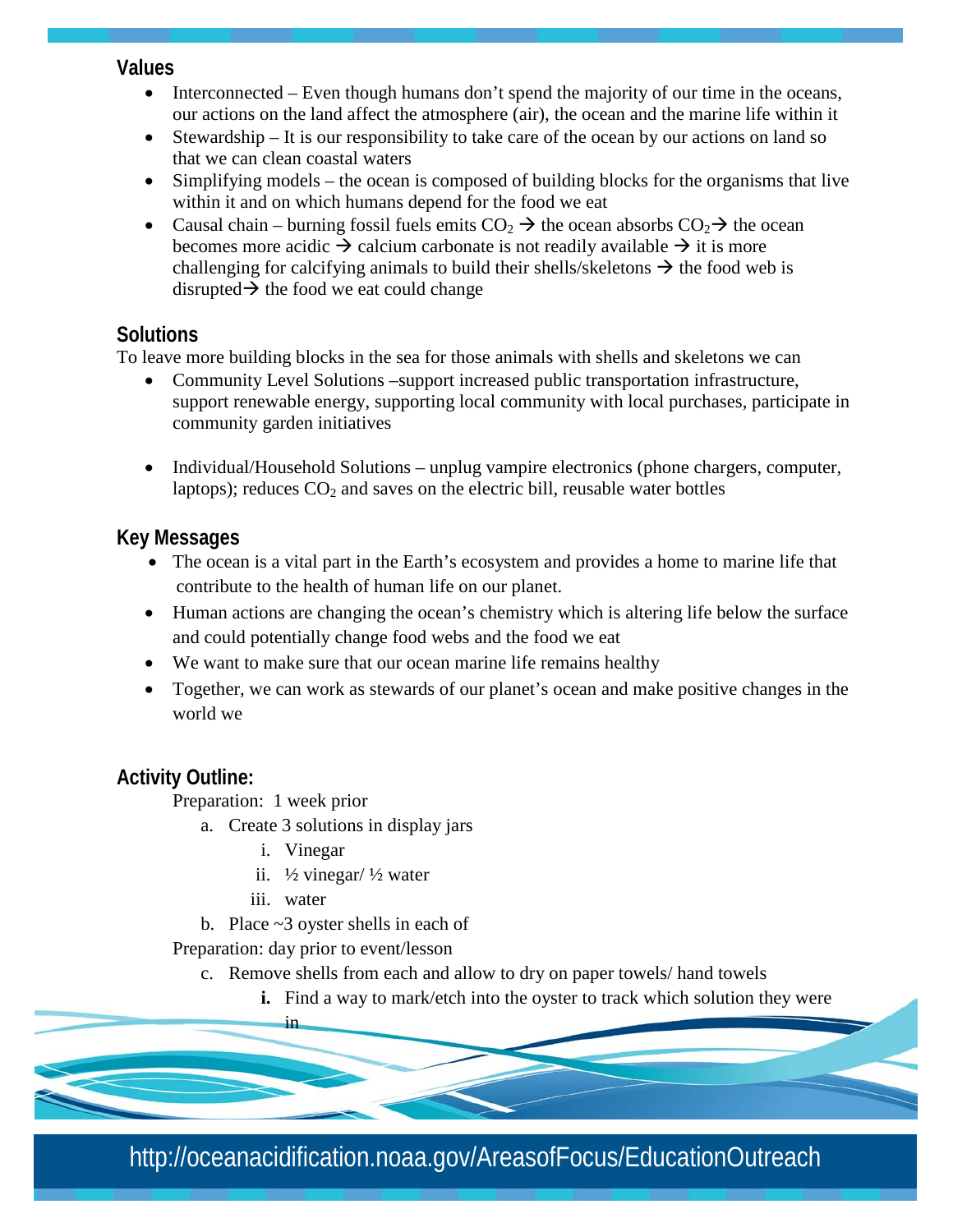#### **Values**

- Interconnected Even though humans don't spend the majority of our time in the oceans, our actions on the land affect the atmosphere (air), the ocean and the marine life within it
- Stewardship It is our responsibility to take care of the ocean by our actions on land so that we can clean coastal waters
- Simplifying models the ocean is composed of building blocks for the organisms that live within it and on which humans depend for the food we eat
- Causal chain burning fossil fuels emits  $CO<sub>2</sub> \rightarrow$  the ocean absorbs  $CO<sub>2</sub> \rightarrow$  the ocean becomes more acidic  $\rightarrow$  calcium carbonate is not readily available  $\rightarrow$  it is more challenging for calcifying animals to build their shells/skeletons  $\rightarrow$  the food web is disrupted  $\rightarrow$  the food we eat could change

#### **Solutions**

To leave more building blocks in the sea for those animals with shells and skeletons we can

- Community Level Solutions –support increased public transportation infrastructure, support renewable energy, supporting local community with local purchases, participate in community garden initiatives
- Individual/Household Solutions unplug vampire electronics (phone chargers, computer, laptops); reduces  $CO<sub>2</sub>$  and saves on the electric bill, reusable water bottles

#### **Key Messages**

- The ocean is a vital part in the Earth's ecosystem and provides a home to marine life that contribute to the health of human life on our planet.
- Human actions are changing the ocean's chemistry which is altering life below the surface and could potentially change food webs and the food we eat
- We want to make sure that our ocean marine life remains healthy
- Together, we can work as stewards of our planet's ocean and make positive changes in the world we

# **Activity Outline:**

Preparation: 1 week prior

- a. Create 3 solutions in display jars
	- i. Vinegar
	- ii. ½ vinegar/ ½ water
	- iii. water

in

b. Place ~3 oyster shells in each of

Preparation: day prior to event/lesson

- c. Remove shells from each and allow to dry on paper towels/ hand towels
	- **i.** Find a way to mark/etch into the oyster to track which solution they were

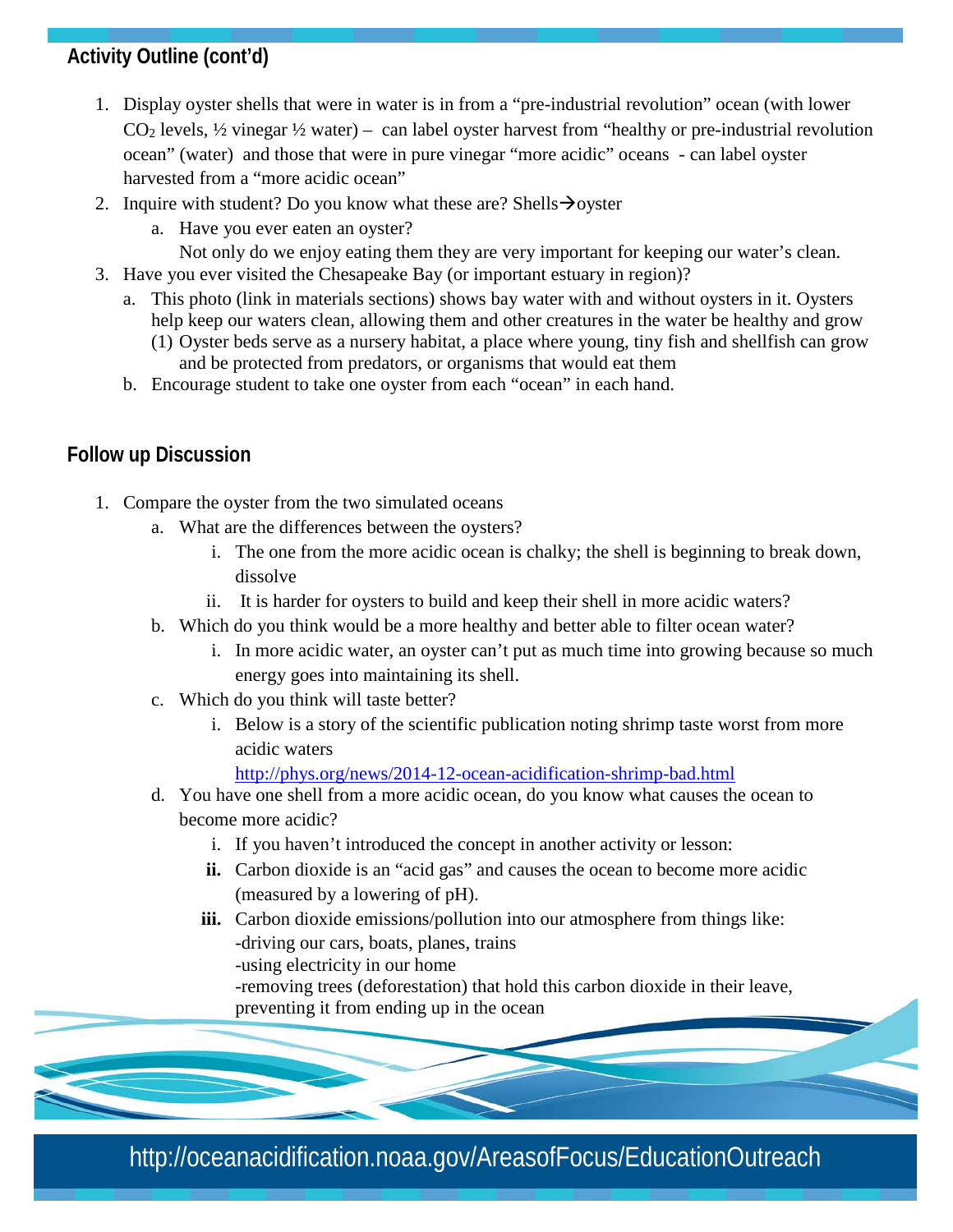# **Activity Outline (cont'd)**

- 1. Display oyster shells that were in water is in from a "pre-industrial revolution" ocean (with lower  $CO<sub>2</sub>$  levels,  $\frac{1}{2}$  vinegar  $\frac{1}{2}$  water) – can label oyster harvest from "healthy or pre-industrial revolution ocean" (water) and those that were in pure vinegar "more acidic" oceans - can label oyster harvested from a "more acidic ocean"
- 2. Inquire with student? Do you know what these are? Shells  $\rightarrow$  oyster
	- a. Have you ever eaten an oyster?
	- Not only do we enjoy eating them they are very important for keeping our water's clean.
- 3. Have you ever visited the Chesapeake Bay (or important estuary in region)?
	- a. This photo (link in materials sections) shows bay water with and without oysters in it. Oysters help keep our waters clean, allowing them and other creatures in the water be healthy and grow
		- (1) Oyster beds serve as a nursery habitat, a place where young, tiny fish and shellfish can grow and be protected from predators, or organisms that would eat them
	- b. Encourage student to take one oyster from each "ocean" in each hand.

### **Follow up Discussion**

- 1. Compare the oyster from the two simulated oceans
	- a. What are the differences between the oysters?
		- i. The one from the more acidic ocean is chalky; the shell is beginning to break down, dissolve
		- ii. It is harder for oysters to build and keep their shell in more acidic waters?
	- b. Which do you think would be a more healthy and better able to filter ocean water?
		- i. In more acidic water, an oyster can't put as much time into growing because so much energy goes into maintaining its shell.
	- c. Which do you think will taste better?
		- i. Below is a story of the scientific publication noting shrimp taste worst from more acidic waters

<http://phys.org/news/2014-12-ocean-acidification-shrimp-bad.html>

- d. You have one shell from a more acidic ocean, do you know what causes the ocean to become more acidic?
	- i. If you haven't introduced the concept in another activity or lesson:
	- **ii.** Carbon dioxide is an "acid gas" and causes the ocean to become more acidic (measured by a lowering of pH).
	- **iii.** Carbon dioxide emissions/pollution into our atmosphere from things like: -driving our cars, boats, planes, trains -using electricity in our home -removing trees (deforestation) that hold this carbon dioxide in their leave, preventing it from ending up in the ocean

# http://oceanacidification.noaa.gov/AreasofFocus/EducationOutreach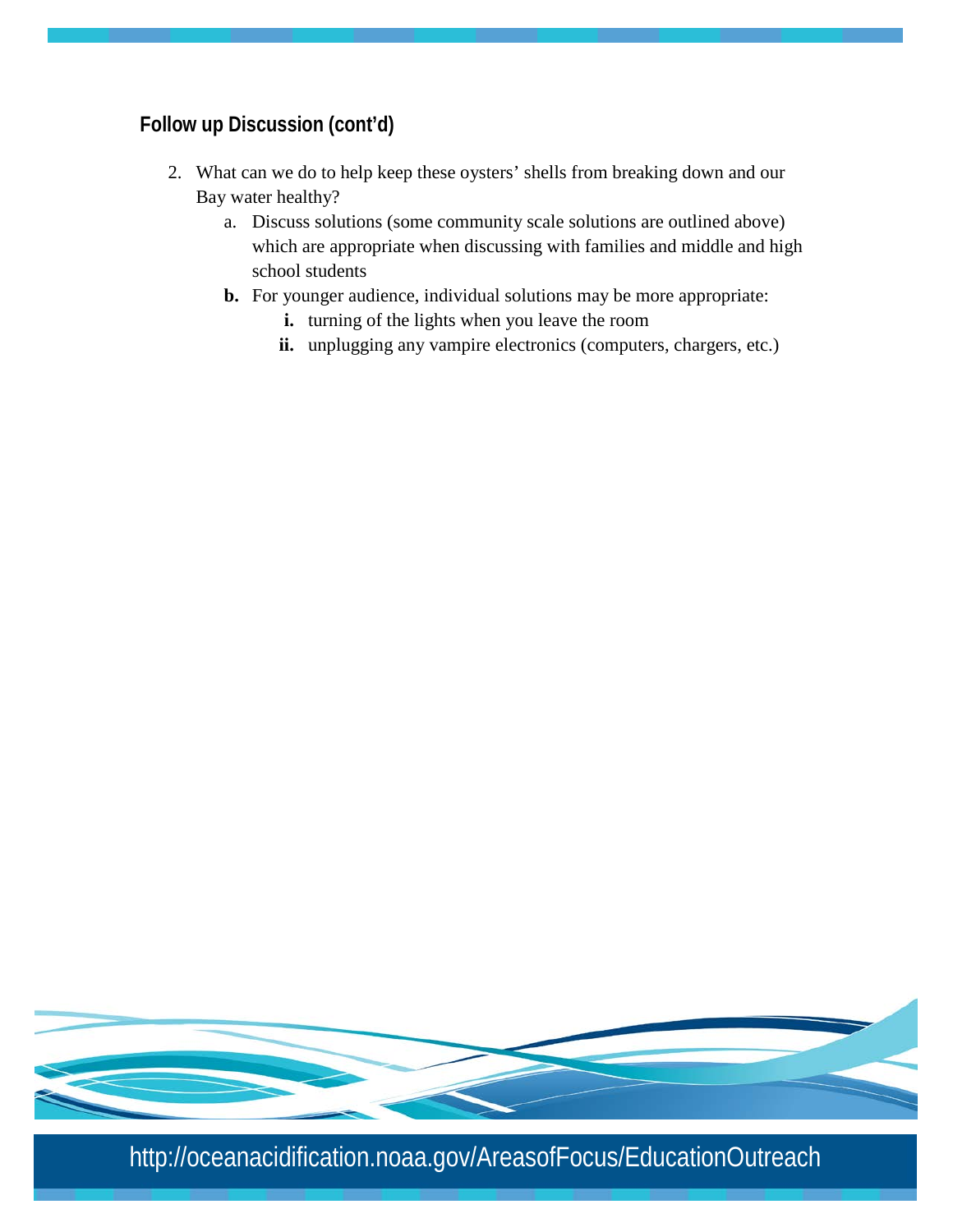# **Follow up Discussion (cont'd)**

- 2. What can we do to help keep these oysters' shells from breaking down and our Bay water healthy?
	- a. Discuss solutions (some community scale solutions are outlined above) which are appropriate when discussing with families and middle and high school students
	- **b.** For younger audience, individual solutions may be more appropriate:
		- **i.** turning of the lights when you leave the room
		- ii. unplugging any vampire electronics (computers, chargers, etc.)



http://oceanacidification.noaa.gov/AreasofFocus/EducationOutreach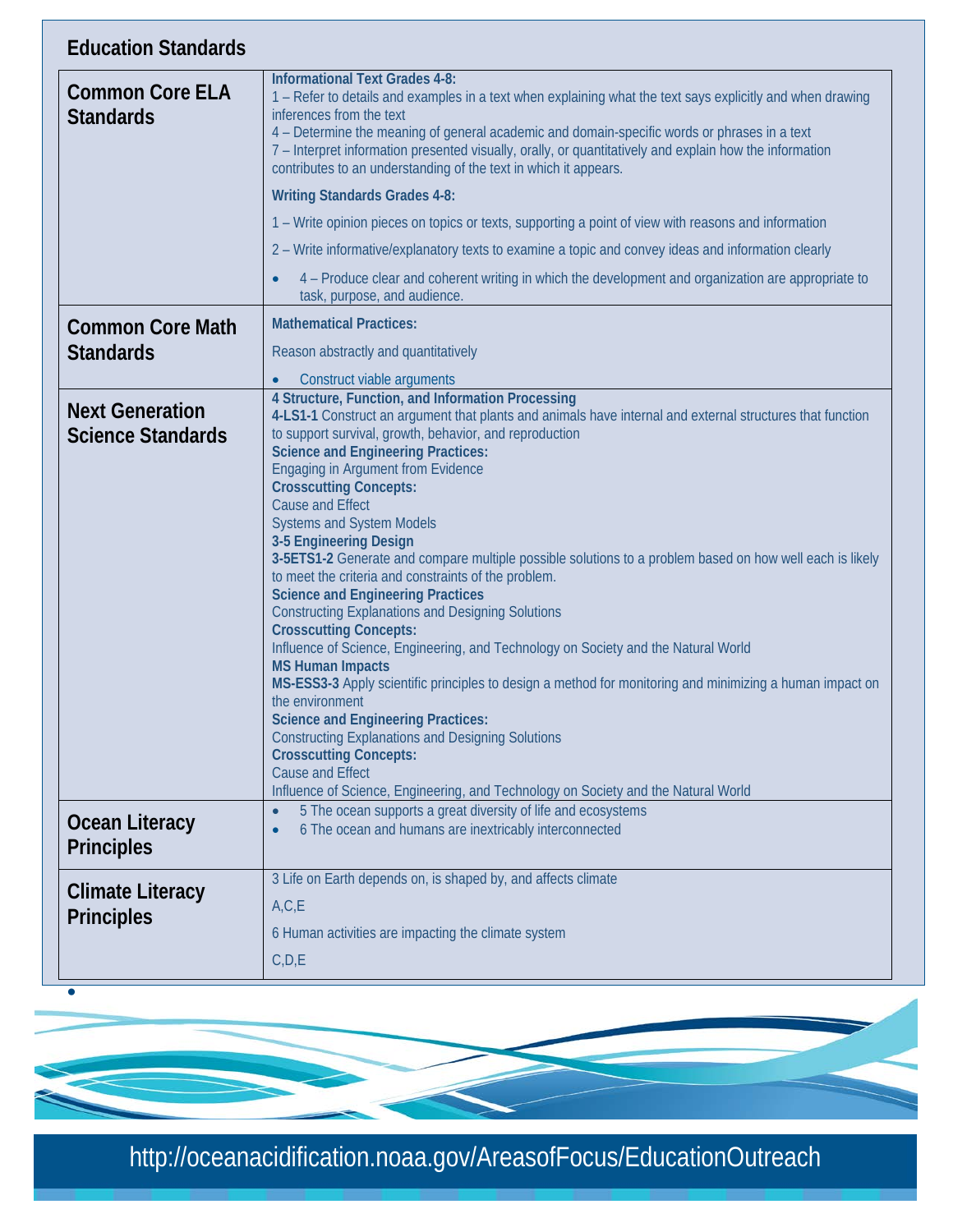| <b>Informational Text Grades 4-8:</b><br><b>Common Core ELA</b><br>1 - Refer to details and examples in a text when explaining what the text says explicitly and when drawing<br><b>Standards</b><br>inferences from the text<br>4 - Determine the meaning of general academic and domain-specific words or phrases in a text<br>7 - Interpret information presented visually, orally, or quantitatively and explain how the information<br>contributes to an understanding of the text in which it appears.<br><b>Writing Standards Grades 4-8:</b><br>1 – Write opinion pieces on topics or texts, supporting a point of view with reasons and information<br>2 - Write informative/explanatory texts to examine a topic and convey ideas and information clearly<br>4 - Produce clear and coherent writing in which the development and organization are appropriate to<br>task, purpose, and audience.<br><b>Mathematical Practices:</b><br><b>Common Core Math</b><br><b>Standards</b><br>Reason abstractly and quantitatively<br>Construct viable arguments<br>4 Structure, Function, and Information Processing<br><b>Next Generation</b><br>4-LS1-1 Construct an argument that plants and animals have internal and external structures that function<br>to support survival, growth, behavior, and reproduction<br><b>Science Standards</b><br><b>Science and Engineering Practices:</b><br><b>Engaging in Argument from Evidence</b><br><b>Crosscutting Concepts:</b><br><b>Cause and Effect</b><br><b>Systems and System Models</b><br>3-5 Engineering Design<br>to meet the criteria and constraints of the problem.<br><b>Science and Engineering Practices</b><br><b>Constructing Explanations and Designing Solutions</b><br><b>Crosscutting Concepts:</b><br>Influence of Science, Engineering, and Technology on Society and the Natural World<br><b>MS Human Impacts</b><br>the environment<br><b>Science and Engineering Practices:</b><br><b>Constructing Explanations and Designing Solutions</b><br><b>Crosscutting Concepts:</b><br><b>Cause and Effect</b><br>Influence of Science, Engineering, and Technology on Society and the Natural World<br>5 The ocean supports a great diversity of life and ecosystems<br>$\bullet$<br><b>Ocean Literacy</b><br>6 The ocean and humans are inextricably interconnected<br>$\bullet$<br><b>Principles</b><br>3 Life on Earth depends on, is shaped by, and affects climate<br><b>Climate Literacy</b><br>A, C, E | <b>Education Standards</b> |                                                                                                                                                                                                                      |
|------------------------------------------------------------------------------------------------------------------------------------------------------------------------------------------------------------------------------------------------------------------------------------------------------------------------------------------------------------------------------------------------------------------------------------------------------------------------------------------------------------------------------------------------------------------------------------------------------------------------------------------------------------------------------------------------------------------------------------------------------------------------------------------------------------------------------------------------------------------------------------------------------------------------------------------------------------------------------------------------------------------------------------------------------------------------------------------------------------------------------------------------------------------------------------------------------------------------------------------------------------------------------------------------------------------------------------------------------------------------------------------------------------------------------------------------------------------------------------------------------------------------------------------------------------------------------------------------------------------------------------------------------------------------------------------------------------------------------------------------------------------------------------------------------------------------------------------------------------------------------------------------------------------------------------------------------------------------------------------------------------------------------------------------------------------------------------------------------------------------------------------------------------------------------------------------------------------------------------------------------------------------------------------------------------------------------------------------------------------------------------------------------------------------------------------------------------------------------------|----------------------------|----------------------------------------------------------------------------------------------------------------------------------------------------------------------------------------------------------------------|
|                                                                                                                                                                                                                                                                                                                                                                                                                                                                                                                                                                                                                                                                                                                                                                                                                                                                                                                                                                                                                                                                                                                                                                                                                                                                                                                                                                                                                                                                                                                                                                                                                                                                                                                                                                                                                                                                                                                                                                                                                                                                                                                                                                                                                                                                                                                                                                                                                                                                                    |                            |                                                                                                                                                                                                                      |
|                                                                                                                                                                                                                                                                                                                                                                                                                                                                                                                                                                                                                                                                                                                                                                                                                                                                                                                                                                                                                                                                                                                                                                                                                                                                                                                                                                                                                                                                                                                                                                                                                                                                                                                                                                                                                                                                                                                                                                                                                                                                                                                                                                                                                                                                                                                                                                                                                                                                                    |                            |                                                                                                                                                                                                                      |
|                                                                                                                                                                                                                                                                                                                                                                                                                                                                                                                                                                                                                                                                                                                                                                                                                                                                                                                                                                                                                                                                                                                                                                                                                                                                                                                                                                                                                                                                                                                                                                                                                                                                                                                                                                                                                                                                                                                                                                                                                                                                                                                                                                                                                                                                                                                                                                                                                                                                                    |                            |                                                                                                                                                                                                                      |
|                                                                                                                                                                                                                                                                                                                                                                                                                                                                                                                                                                                                                                                                                                                                                                                                                                                                                                                                                                                                                                                                                                                                                                                                                                                                                                                                                                                                                                                                                                                                                                                                                                                                                                                                                                                                                                                                                                                                                                                                                                                                                                                                                                                                                                                                                                                                                                                                                                                                                    |                            |                                                                                                                                                                                                                      |
|                                                                                                                                                                                                                                                                                                                                                                                                                                                                                                                                                                                                                                                                                                                                                                                                                                                                                                                                                                                                                                                                                                                                                                                                                                                                                                                                                                                                                                                                                                                                                                                                                                                                                                                                                                                                                                                                                                                                                                                                                                                                                                                                                                                                                                                                                                                                                                                                                                                                                    |                            |                                                                                                                                                                                                                      |
|                                                                                                                                                                                                                                                                                                                                                                                                                                                                                                                                                                                                                                                                                                                                                                                                                                                                                                                                                                                                                                                                                                                                                                                                                                                                                                                                                                                                                                                                                                                                                                                                                                                                                                                                                                                                                                                                                                                                                                                                                                                                                                                                                                                                                                                                                                                                                                                                                                                                                    |                            | 3-5ETS1-2 Generate and compare multiple possible solutions to a problem based on how well each is likely<br>MS-ESS3-3 Apply scientific principles to design a method for monitoring and minimizing a human impact on |
|                                                                                                                                                                                                                                                                                                                                                                                                                                                                                                                                                                                                                                                                                                                                                                                                                                                                                                                                                                                                                                                                                                                                                                                                                                                                                                                                                                                                                                                                                                                                                                                                                                                                                                                                                                                                                                                                                                                                                                                                                                                                                                                                                                                                                                                                                                                                                                                                                                                                                    |                            |                                                                                                                                                                                                                      |
| 6 Human activities are impacting the climate system<br>C, D, E                                                                                                                                                                                                                                                                                                                                                                                                                                                                                                                                                                                                                                                                                                                                                                                                                                                                                                                                                                                                                                                                                                                                                                                                                                                                                                                                                                                                                                                                                                                                                                                                                                                                                                                                                                                                                                                                                                                                                                                                                                                                                                                                                                                                                                                                                                                                                                                                                     | <b>Principles</b>          |                                                                                                                                                                                                                      |

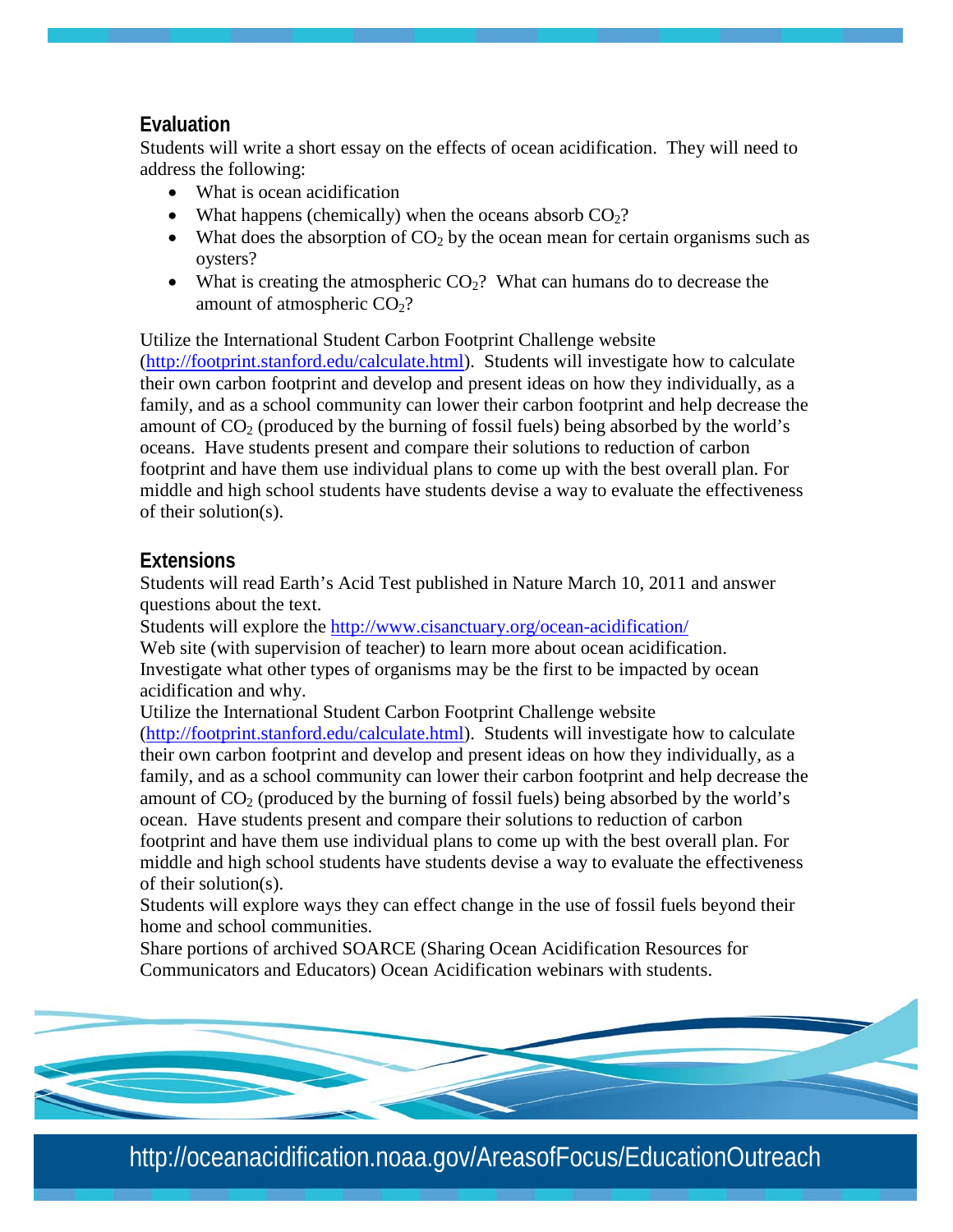#### **Evaluation**

Students will write a short essay on the effects of ocean acidification. They will need to address the following:

- What is ocean acidification
- What happens (chemically) when the oceans absorb  $CO<sub>2</sub>$ ?
- What does the absorption of  $CO<sub>2</sub>$  by the ocean mean for certain organisms such as oysters?
- What is creating the atmospheric  $CO<sub>2</sub>$ ? What can humans do to decrease the amount of atmospheric  $CO<sub>2</sub>$ ?

#### Utilize the International Student Carbon Footprint Challenge website

[\(http://footprint.stanford.edu/calculate.html\)](http://footprint.stanford.edu/calculate.html). Students will investigate how to calculate their own carbon footprint and develop and present ideas on how they individually, as a family, and as a school community can lower their carbon footprint and help decrease the amount of  $CO<sub>2</sub>$  (produced by the burning of fossil fuels) being absorbed by the world's oceans. Have students present and compare their solutions to reduction of carbon footprint and have them use individual plans to come up with the best overall plan. For middle and high school students have students devise a way to evaluate the effectiveness of their solution(s).

#### **Extensions**

Students will read Earth's Acid Test published in Nature March 10, 2011 and answer questions about the text.

Students will explore the<http://www.cisanctuary.org/ocean-acidification/>

Web site (with supervision of teacher) to learn more about ocean acidification. Investigate what other types of organisms may be the first to be impacted by ocean acidification and why.

Utilize the International Student Carbon Footprint Challenge website

[\(http://footprint.stanford.edu/calculate.html\)](http://footprint.stanford.edu/calculate.html). Students will investigate how to calculate their own carbon footprint and develop and present ideas on how they individually, as a family, and as a school community can lower their carbon footprint and help decrease the amount of  $CO<sub>2</sub>$  (produced by the burning of fossil fuels) being absorbed by the world's ocean. Have students present and compare their solutions to reduction of carbon footprint and have them use individual plans to come up with the best overall plan. For middle and high school students have students devise a way to evaluate the effectiveness of their solution(s).

Students will explore ways they can effect change in the use of fossil fuels beyond their home and school communities.

Share portions of archived SOARCE (Sharing Ocean Acidification Resources for Communicators and Educators) Ocean Acidification webinars with students.



http://oceanacidification.noaa.gov/AreasofFocus/EducationOutreach